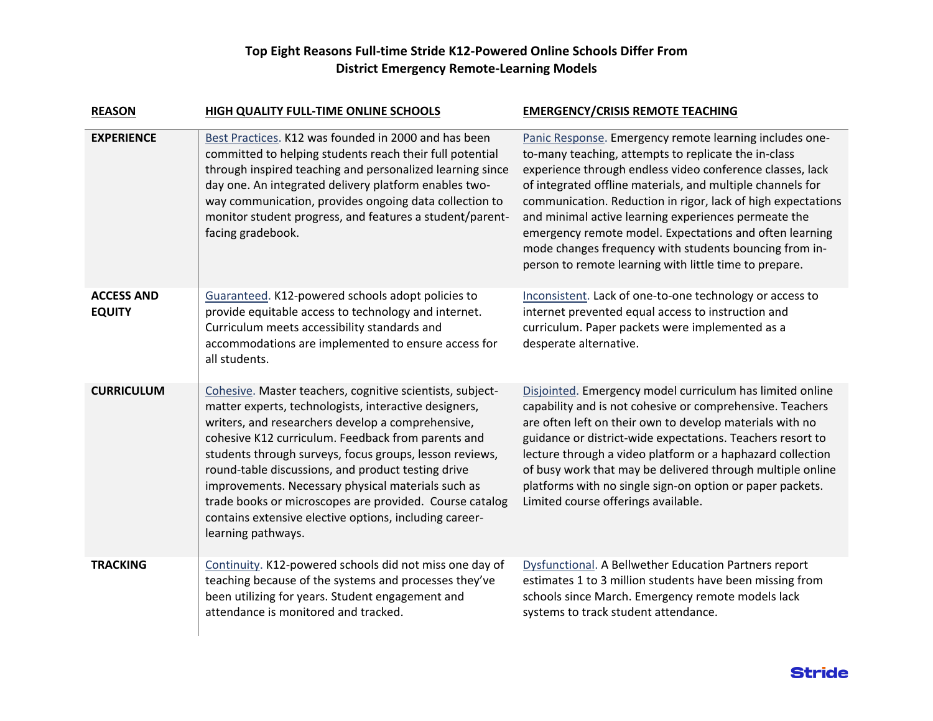## **Top Eight Reasons Full-time Stride K12-Powered Online Schools Differ From District Emergency Remote-Learning Models**

| <b>REASON</b>                      | HIGH QUALITY FULL-TIME ONLINE SCHOOLS                                                                                                                                                                                                                                                                                                                                                                                                                                                                                                           | <b>EMERGENCY/CRISIS REMOTE TEACHING</b>                                                                                                                                                                                                                                                                                                                                                                                                                                                                                                           |
|------------------------------------|-------------------------------------------------------------------------------------------------------------------------------------------------------------------------------------------------------------------------------------------------------------------------------------------------------------------------------------------------------------------------------------------------------------------------------------------------------------------------------------------------------------------------------------------------|---------------------------------------------------------------------------------------------------------------------------------------------------------------------------------------------------------------------------------------------------------------------------------------------------------------------------------------------------------------------------------------------------------------------------------------------------------------------------------------------------------------------------------------------------|
| <b>EXPERIENCE</b>                  | Best Practices. K12 was founded in 2000 and has been<br>committed to helping students reach their full potential<br>through inspired teaching and personalized learning since<br>day one. An integrated delivery platform enables two-<br>way communication, provides ongoing data collection to<br>monitor student progress, and features a student/parent-<br>facing gradebook.                                                                                                                                                               | Panic Response. Emergency remote learning includes one-<br>to-many teaching, attempts to replicate the in-class<br>experience through endless video conference classes, lack<br>of integrated offline materials, and multiple channels for<br>communication. Reduction in rigor, lack of high expectations<br>and minimal active learning experiences permeate the<br>emergency remote model. Expectations and often learning<br>mode changes frequency with students bouncing from in-<br>person to remote learning with little time to prepare. |
| <b>ACCESS AND</b><br><b>EQUITY</b> | Guaranteed. K12-powered schools adopt policies to<br>provide equitable access to technology and internet.<br>Curriculum meets accessibility standards and<br>accommodations are implemented to ensure access for<br>all students.                                                                                                                                                                                                                                                                                                               | Inconsistent. Lack of one-to-one technology or access to<br>internet prevented equal access to instruction and<br>curriculum. Paper packets were implemented as a<br>desperate alternative.                                                                                                                                                                                                                                                                                                                                                       |
| <b>CURRICULUM</b>                  | Cohesive. Master teachers, cognitive scientists, subject-<br>matter experts, technologists, interactive designers,<br>writers, and researchers develop a comprehensive,<br>cohesive K12 curriculum. Feedback from parents and<br>students through surveys, focus groups, lesson reviews,<br>round-table discussions, and product testing drive<br>improvements. Necessary physical materials such as<br>trade books or microscopes are provided. Course catalog<br>contains extensive elective options, including career-<br>learning pathways. | Disjointed. Emergency model curriculum has limited online<br>capability and is not cohesive or comprehensive. Teachers<br>are often left on their own to develop materials with no<br>guidance or district-wide expectations. Teachers resort to<br>lecture through a video platform or a haphazard collection<br>of busy work that may be delivered through multiple online<br>platforms with no single sign-on option or paper packets.<br>Limited course offerings available.                                                                  |
| <b>TRACKING</b>                    | Continuity. K12-powered schools did not miss one day of<br>teaching because of the systems and processes they've<br>been utilizing for years. Student engagement and<br>attendance is monitored and tracked.                                                                                                                                                                                                                                                                                                                                    | Dysfunctional. A Bellwether Education Partners report<br>estimates 1 to 3 million students have been missing from<br>schools since March. Emergency remote models lack<br>systems to track student attendance.                                                                                                                                                                                                                                                                                                                                    |